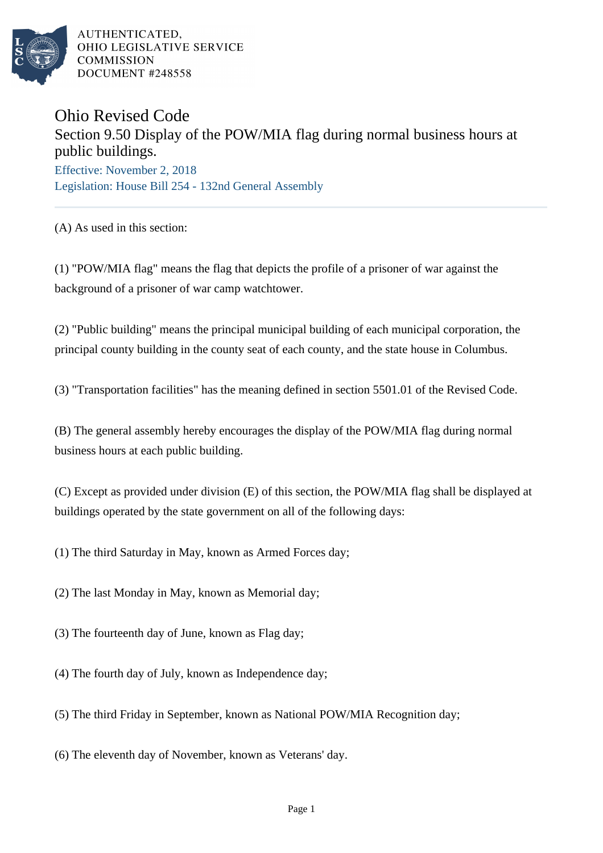

AUTHENTICATED. OHIO LEGISLATIVE SERVICE **COMMISSION** DOCUMENT #248558

## Ohio Revised Code Section 9.50 Display of the POW/MIA flag during normal business hours at public buildings.

Effective: November 2, 2018 Legislation: House Bill 254 - 132nd General Assembly

(A) As used in this section:

(1) "POW/MIA flag" means the flag that depicts the profile of a prisoner of war against the background of a prisoner of war camp watchtower.

(2) "Public building" means the principal municipal building of each municipal corporation, the principal county building in the county seat of each county, and the state house in Columbus.

(3) "Transportation facilities" has the meaning defined in section 5501.01 of the Revised Code.

(B) The general assembly hereby encourages the display of the POW/MIA flag during normal business hours at each public building.

(C) Except as provided under division (E) of this section, the POW/MIA flag shall be displayed at buildings operated by the state government on all of the following days:

(1) The third Saturday in May, known as Armed Forces day;

(2) The last Monday in May, known as Memorial day;

(3) The fourteenth day of June, known as Flag day;

(4) The fourth day of July, known as Independence day;

(5) The third Friday in September, known as National POW/MIA Recognition day;

(6) The eleventh day of November, known as Veterans' day.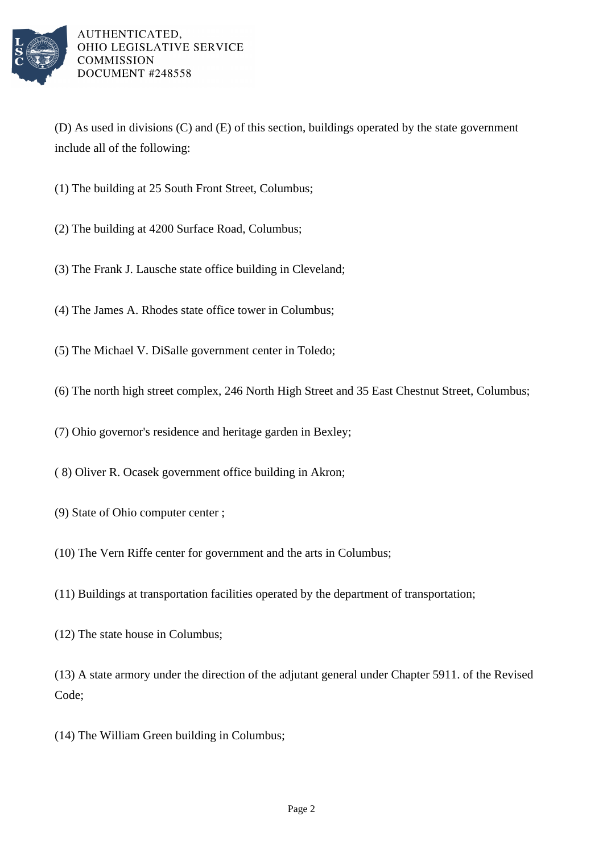

AUTHENTICATED, OHIO LEGISLATIVE SERVICE **COMMISSION DOCUMENT #248558** 

(D) As used in divisions (C) and (E) of this section, buildings operated by the state government include all of the following:

- (1) The building at 25 South Front Street, Columbus;
- (2) The building at 4200 Surface Road, Columbus;
- (3) The Frank J. Lausche state office building in Cleveland;
- (4) The James A. Rhodes state office tower in Columbus;
- (5) The Michael V. DiSalle government center in Toledo;
- (6) The north high street complex, 246 North High Street and 35 East Chestnut Street, Columbus;
- (7) Ohio governor's residence and heritage garden in Bexley;
- ( 8) Oliver R. Ocasek government office building in Akron;
- (9) State of Ohio computer center ;
- (10) The Vern Riffe center for government and the arts in Columbus;
- (11) Buildings at transportation facilities operated by the department of transportation;
- (12) The state house in Columbus;

(13) A state armory under the direction of the adjutant general under Chapter 5911. of the Revised Code;

(14) The William Green building in Columbus;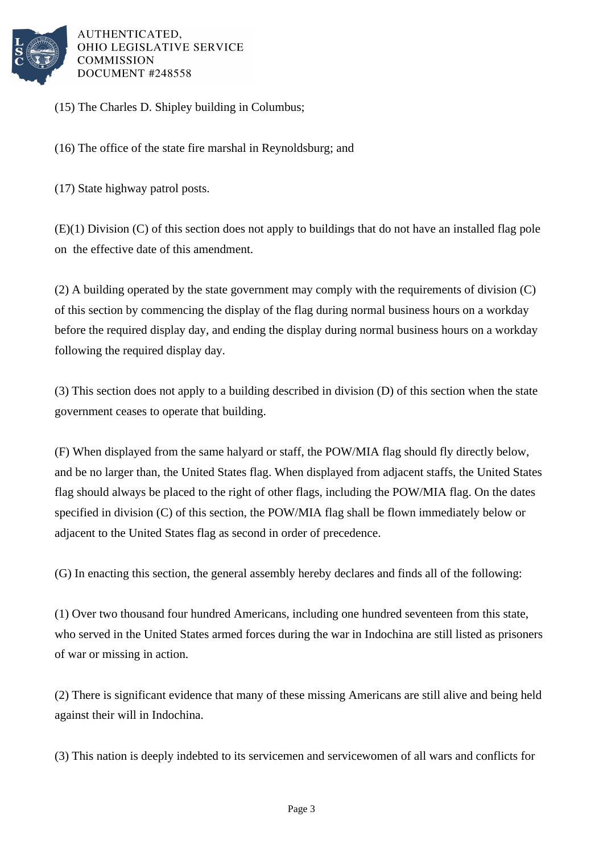

AUTHENTICATED. OHIO LEGISLATIVE SERVICE **COMMISSION** DOCUMENT #248558

(15) The Charles D. Shipley building in Columbus;

(16) The office of the state fire marshal in Reynoldsburg; and

(17) State highway patrol posts.

(E)(1) Division (C) of this section does not apply to buildings that do not have an installed flag pole on the effective date of this amendment.

(2) A building operated by the state government may comply with the requirements of division (C) of this section by commencing the display of the flag during normal business hours on a workday before the required display day, and ending the display during normal business hours on a workday following the required display day.

(3) This section does not apply to a building described in division (D) of this section when the state government ceases to operate that building.

(F) When displayed from the same halyard or staff, the POW/MIA flag should fly directly below, and be no larger than, the United States flag. When displayed from adjacent staffs, the United States flag should always be placed to the right of other flags, including the POW/MIA flag. On the dates specified in division (C) of this section, the POW/MIA flag shall be flown immediately below or adjacent to the United States flag as second in order of precedence.

(G) In enacting this section, the general assembly hereby declares and finds all of the following:

(1) Over two thousand four hundred Americans, including one hundred seventeen from this state, who served in the United States armed forces during the war in Indochina are still listed as prisoners of war or missing in action.

(2) There is significant evidence that many of these missing Americans are still alive and being held against their will in Indochina.

(3) This nation is deeply indebted to its servicemen and servicewomen of all wars and conflicts for